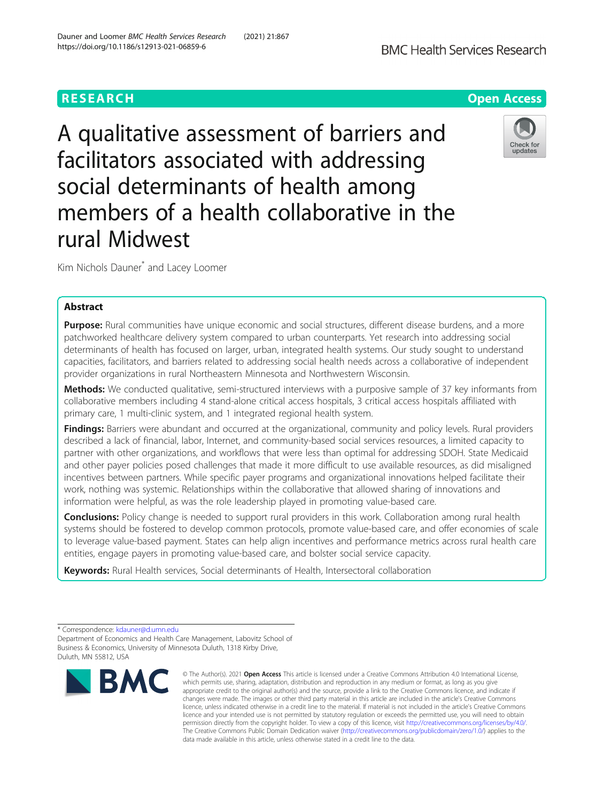A qualitative assessment of barriers and facilitators associated with addressing social determinants of health among members of a health collaborative in the rural Midwest

Kim Nichols Dauner<sup>\*</sup> and Lacey Loomer

# Abstract

Purpose: Rural communities have unique economic and social structures, different disease burdens, and a more patchworked healthcare delivery system compared to urban counterparts. Yet research into addressing social determinants of health has focused on larger, urban, integrated health systems. Our study sought to understand capacities, facilitators, and barriers related to addressing social health needs across a collaborative of independent provider organizations in rural Northeastern Minnesota and Northwestern Wisconsin.

Methods: We conducted qualitative, semi-structured interviews with a purposive sample of 37 key informants from collaborative members including 4 stand-alone critical access hospitals, 3 critical access hospitals affiliated with primary care, 1 multi-clinic system, and 1 integrated regional health system.

Findings: Barriers were abundant and occurred at the organizational, community and policy levels. Rural providers described a lack of financial, labor, Internet, and community-based social services resources, a limited capacity to partner with other organizations, and workflows that were less than optimal for addressing SDOH. State Medicaid and other payer policies posed challenges that made it more difficult to use available resources, as did misaligned incentives between partners. While specific payer programs and organizational innovations helped facilitate their work, nothing was systemic. Relationships within the collaborative that allowed sharing of innovations and information were helpful, as was the role leadership played in promoting value-based care.

**Conclusions:** Policy change is needed to support rural providers in this work. Collaboration among rural health systems should be fostered to develop common protocols, promote value-based care, and offer economies of scale to leverage value-based payment. States can help align incentives and performance metrics across rural health care entities, engage payers in promoting value-based care, and bolster social service capacity.

Keywords: Rural Health services, Social determinants of Health, Intersectoral collaboration

\* Correspondence: [kdauner@d.umn.edu](mailto:kdauner@d.umn.edu)

Department of Economics and Health Care Management, Labovitz School of Business & Economics, University of Minnesota Duluth, 1318 Kirby Drive, Duluth, MN 55812, USA



**BMC** 



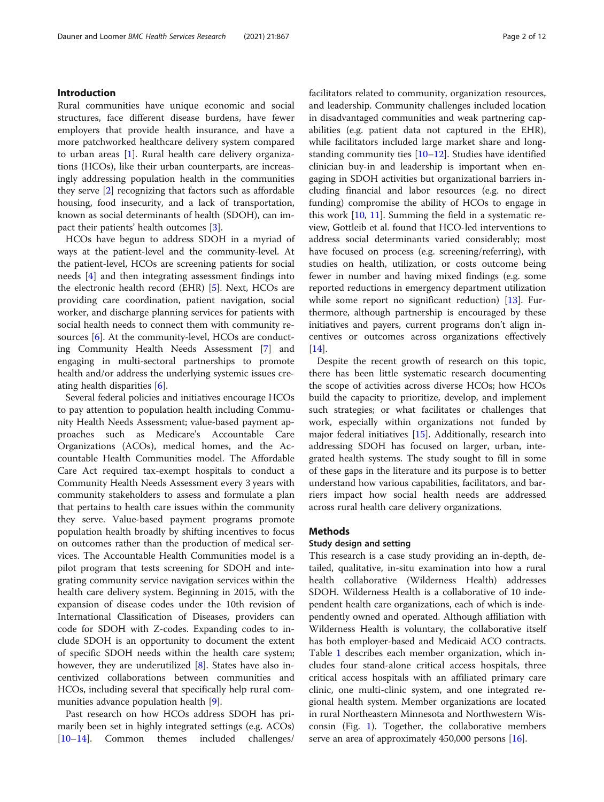# Introduction

Rural communities have unique economic and social structures, face different disease burdens, have fewer employers that provide health insurance, and have a more patchworked healthcare delivery system compared to urban areas [\[1](#page-10-0)]. Rural health care delivery organizations (HCOs), like their urban counterparts, are increasingly addressing population health in the communities they serve [\[2](#page-10-0)] recognizing that factors such as affordable housing, food insecurity, and a lack of transportation, known as social determinants of health (SDOH), can impact their patients' health outcomes [[3](#page-10-0)].

HCOs have begun to address SDOH in a myriad of ways at the patient-level and the community-level. At the patient-level, HCOs are screening patients for social needs [\[4](#page-10-0)] and then integrating assessment findings into the electronic health record (EHR) [[5\]](#page-10-0). Next, HCOs are providing care coordination, patient navigation, social worker, and discharge planning services for patients with social health needs to connect them with community re-sources [\[6](#page-10-0)]. At the community-level, HCOs are conducting Community Health Needs Assessment [[7\]](#page-10-0) and engaging in multi-sectoral partnerships to promote health and/or address the underlying systemic issues creating health disparities [\[6](#page-10-0)].

Several federal policies and initiatives encourage HCOs to pay attention to population health including Community Health Needs Assessment; value-based payment approaches such as Medicare's Accountable Care Organizations (ACOs), medical homes, and the Accountable Health Communities model. The Affordable Care Act required tax-exempt hospitals to conduct a Community Health Needs Assessment every 3 years with community stakeholders to assess and formulate a plan that pertains to health care issues within the community they serve. Value-based payment programs promote population health broadly by shifting incentives to focus on outcomes rather than the production of medical services. The Accountable Health Communities model is a pilot program that tests screening for SDOH and integrating community service navigation services within the health care delivery system. Beginning in 2015, with the expansion of disease codes under the 10th revision of International Classification of Diseases, providers can code for SDOH with Z-codes. Expanding codes to include SDOH is an opportunity to document the extent of specific SDOH needs within the health care system; however, they are underutilized  $[8]$  $[8]$ . States have also incentivized collaborations between communities and HCOs, including several that specifically help rural communities advance population health [[9\]](#page-10-0).

Past research on how HCOs address SDOH has primarily been set in highly integrated settings (e.g. ACOs) [[10](#page-10-0)–[14](#page-10-0)]. Common themes included challenges/ facilitators related to community, organization resources, and leadership. Community challenges included location in disadvantaged communities and weak partnering capabilities (e.g. patient data not captured in the EHR), while facilitators included large market share and longstanding community ties  $[10-12]$  $[10-12]$  $[10-12]$ . Studies have identified clinician buy-in and leadership is important when engaging in SDOH activities but organizational barriers including financial and labor resources (e.g. no direct funding) compromise the ability of HCOs to engage in this work [[10](#page-10-0), [11\]](#page-10-0). Summing the field in a systematic review, Gottleib et al. found that HCO-led interventions to address social determinants varied considerably; most have focused on process (e.g. screening/referring), with studies on health, utilization, or costs outcome being fewer in number and having mixed findings (e.g. some reported reductions in emergency department utilization while some report no significant reduction) [[13\]](#page-10-0). Furthermore, although partnership is encouraged by these initiatives and payers, current programs don't align incentives or outcomes across organizations effectively [[14\]](#page-10-0).

Despite the recent growth of research on this topic, there has been little systematic research documenting the scope of activities across diverse HCOs; how HCOs build the capacity to prioritize, develop, and implement such strategies; or what facilitates or challenges that work, especially within organizations not funded by major federal initiatives [[15](#page-10-0)]. Additionally, research into addressing SDOH has focused on larger, urban, integrated health systems. The study sought to fill in some of these gaps in the literature and its purpose is to better understand how various capabilities, facilitators, and barriers impact how social health needs are addressed across rural health care delivery organizations.

## Methods

## Study design and setting

This research is a case study providing an in-depth, detailed, qualitative, in-situ examination into how a rural health collaborative (Wilderness Health) addresses SDOH. Wilderness Health is a collaborative of 10 independent health care organizations, each of which is independently owned and operated. Although affiliation with Wilderness Health is voluntary, the collaborative itself has both employer-based and Medicaid ACO contracts. Table [1](#page-2-0) describes each member organization, which includes four stand-alone critical access hospitals, three critical access hospitals with an affiliated primary care clinic, one multi-clinic system, and one integrated regional health system. Member organizations are located in rural Northeastern Minnesota and Northwestern Wisconsin (Fig. [1](#page-3-0)). Together, the collaborative members serve an area of approximately 450,000 persons [[16\]](#page-10-0).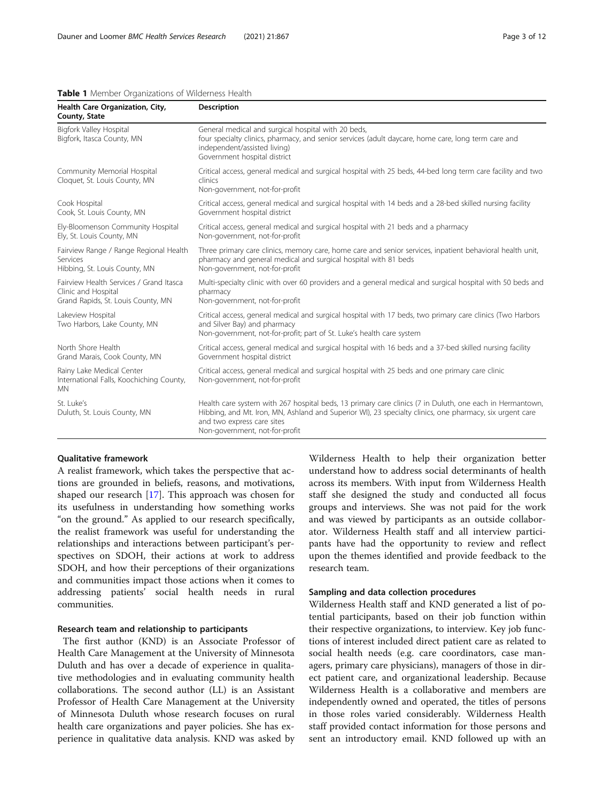#### <span id="page-2-0"></span>Table 1 Member Organizations of Wilderness Health

| Health Care Organization, City,<br>County, State                                                     | <b>Description</b>                                                                                                                                                                                                                                                                   |
|------------------------------------------------------------------------------------------------------|--------------------------------------------------------------------------------------------------------------------------------------------------------------------------------------------------------------------------------------------------------------------------------------|
| Bigfork Valley Hospital<br>Bigfork, Itasca County, MN                                                | General medical and surgical hospital with 20 beds,<br>four specialty clinics, pharmacy, and senior services (adult daycare, home care, long term care and<br>independent/assisted living)<br>Government hospital district                                                           |
| Community Memorial Hospital<br>Cloquet, St. Louis County, MN                                         | Critical access, general medical and surgical hospital with 25 beds, 44-bed long term care facility and two<br>clinics<br>Non-government, not-for-profit                                                                                                                             |
| Cook Hospital<br>Cook, St. Louis County, MN                                                          | Critical access, general medical and surgical hospital with 14 beds and a 28-bed skilled nursing facility<br>Government hospital district                                                                                                                                            |
| Ely-Bloomenson Community Hospital<br>Ely, St. Louis County, MN                                       | Critical access, general medical and surgical hospital with 21 beds and a pharmacy<br>Non-government, not-for-profit                                                                                                                                                                 |
| Fairview Range / Range Regional Health<br>Services<br>Hibbing, St. Louis County, MN                  | Three primary care clinics, memory care, home care and senior services, inpatient behavioral health unit,<br>pharmacy and general medical and surgical hospital with 81 beds<br>Non-government, not-for-profit                                                                       |
| Fairview Health Services / Grand Itasca<br>Clinic and Hospital<br>Grand Rapids, St. Louis County, MN | Multi-specialty clinic with over 60 providers and a general medical and surgical hospital with 50 beds and<br>pharmacy<br>Non-government, not-for-profit                                                                                                                             |
| Lakeview Hospital<br>Two Harbors, Lake County, MN                                                    | Critical access, general medical and surgical hospital with 17 beds, two primary care clinics (Two Harbors<br>and Silver Bay) and pharmacy<br>Non-government, not-for-profit; part of St. Luke's health care system                                                                  |
| North Shore Health<br>Grand Marais, Cook County, MN                                                  | Critical access, general medical and surgical hospital with 16 beds and a 37-bed skilled nursing facility<br>Government hospital district                                                                                                                                            |
| Rainy Lake Medical Center<br>International Falls, Koochiching County,<br><b>MN</b>                   | Critical access, general medical and surgical hospital with 25 beds and one primary care clinic<br>Non-government, not-for-profit                                                                                                                                                    |
| St. Luke's<br>Duluth, St. Louis County, MN                                                           | Health care system with 267 hospital beds, 13 primary care clinics (7 in Duluth, one each in Hermantown,<br>Hibbing, and Mt. Iron, MN, Ashland and Superior WI), 23 specialty clinics, one pharmacy, six urgent care<br>and two express care sites<br>Non-government, not-for-profit |

# Qualitative framework

A realist framework, which takes the perspective that actions are grounded in beliefs, reasons, and motivations, shaped our research [[17\]](#page-10-0). This approach was chosen for its usefulness in understanding how something works "on the ground." As applied to our research specifically, the realist framework was useful for understanding the relationships and interactions between participant's perspectives on SDOH, their actions at work to address SDOH, and how their perceptions of their organizations and communities impact those actions when it comes to addressing patients' social health needs in rural communities.

## Research team and relationship to participants

The first author (KND) is an Associate Professor of Health Care Management at the University of Minnesota Duluth and has over a decade of experience in qualitative methodologies and in evaluating community health collaborations. The second author (LL) is an Assistant Professor of Health Care Management at the University of Minnesota Duluth whose research focuses on rural health care organizations and payer policies. She has experience in qualitative data analysis. KND was asked by

Wilderness Health to help their organization better understand how to address social determinants of health across its members. With input from Wilderness Health staff she designed the study and conducted all focus groups and interviews. She was not paid for the work and was viewed by participants as an outside collaborator. Wilderness Health staff and all interview participants have had the opportunity to review and reflect upon the themes identified and provide feedback to the research team.

# Sampling and data collection procedures

Wilderness Health staff and KND generated a list of potential participants, based on their job function within their respective organizations, to interview. Key job functions of interest included direct patient care as related to social health needs (e.g. care coordinators, case managers, primary care physicians), managers of those in direct patient care, and organizational leadership. Because Wilderness Health is a collaborative and members are independently owned and operated, the titles of persons in those roles varied considerably. Wilderness Health staff provided contact information for those persons and sent an introductory email. KND followed up with an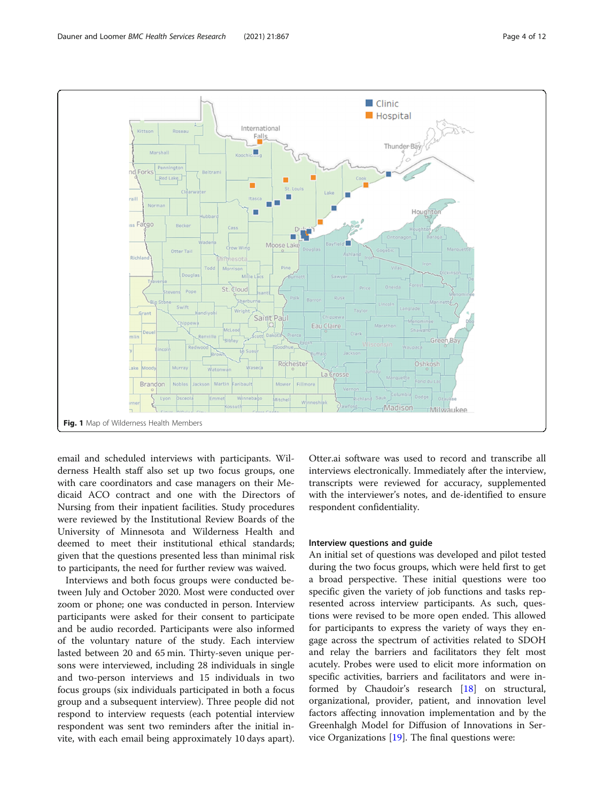<span id="page-3-0"></span>

email and scheduled interviews with participants. Wilderness Health staff also set up two focus groups, one with care coordinators and case managers on their Medicaid ACO contract and one with the Directors of Nursing from their inpatient facilities. Study procedures were reviewed by the Institutional Review Boards of the University of Minnesota and Wilderness Health and deemed to meet their institutional ethical standards; given that the questions presented less than minimal risk to participants, the need for further review was waived.

Interviews and both focus groups were conducted between July and October 2020. Most were conducted over zoom or phone; one was conducted in person. Interview participants were asked for their consent to participate and be audio recorded. Participants were also informed of the voluntary nature of the study. Each interview lasted between 20 and 65 min. Thirty-seven unique persons were interviewed, including 28 individuals in single and two-person interviews and 15 individuals in two focus groups (six individuals participated in both a focus group and a subsequent interview). Three people did not respond to interview requests (each potential interview respondent was sent two reminders after the initial invite, with each email being approximately 10 days apart). Otter.ai software was used to record and transcribe all interviews electronically. Immediately after the interview, transcripts were reviewed for accuracy, supplemented with the interviewer's notes, and de-identified to ensure respondent confidentiality.

### Interview questions and guide

An initial set of questions was developed and pilot tested during the two focus groups, which were held first to get a broad perspective. These initial questions were too specific given the variety of job functions and tasks represented across interview participants. As such, questions were revised to be more open ended. This allowed for participants to express the variety of ways they engage across the spectrum of activities related to SDOH and relay the barriers and facilitators they felt most acutely. Probes were used to elicit more information on specific activities, barriers and facilitators and were informed by Chaudoir's research [\[18](#page-11-0)] on structural, organizational, provider, patient, and innovation level factors affecting innovation implementation and by the Greenhalgh Model for Diffusion of Innovations in Service Organizations [[19\]](#page-11-0). The final questions were: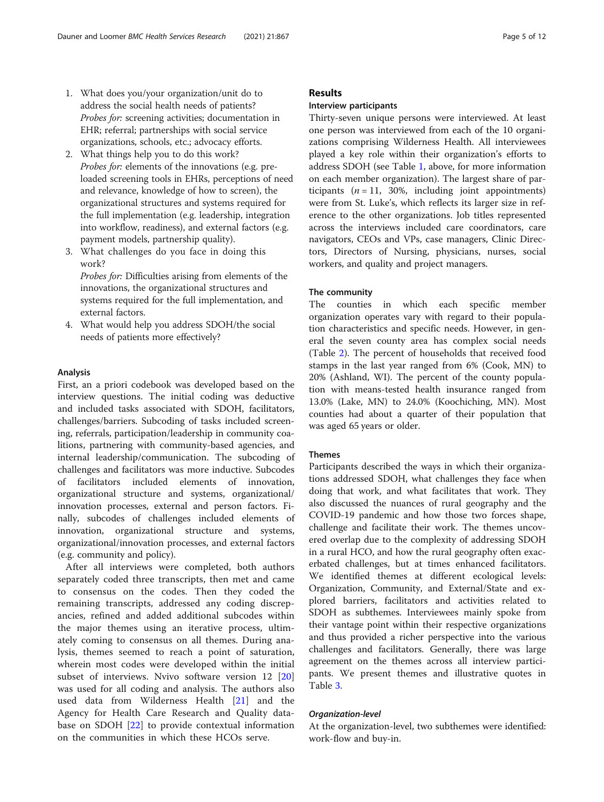- 1. What does you/your organization/unit do to address the social health needs of patients? Probes for: screening activities; documentation in EHR; referral; partnerships with social service organizations, schools, etc.; advocacy efforts.
- 2. What things help you to do this work? Probes for: elements of the innovations (e.g. preloaded screening tools in EHRs, perceptions of need and relevance, knowledge of how to screen), the organizational structures and systems required for the full implementation (e.g. leadership, integration into workflow, readiness), and external factors (e.g. payment models, partnership quality).
- 3. What challenges do you face in doing this work?

Probes for: Difficulties arising from elements of the innovations, the organizational structures and systems required for the full implementation, and external factors.

4. What would help you address SDOH/the social needs of patients more effectively?

# Analysis

First, an a priori codebook was developed based on the interview questions. The initial coding was deductive and included tasks associated with SDOH, facilitators, challenges/barriers. Subcoding of tasks included screening, referrals, participation/leadership in community coalitions, partnering with community-based agencies, and internal leadership/communication. The subcoding of challenges and facilitators was more inductive. Subcodes of facilitators included elements of innovation, organizational structure and systems, organizational/ innovation processes, external and person factors. Finally, subcodes of challenges included elements of innovation, organizational structure and systems, organizational/innovation processes, and external factors (e.g. community and policy).

After all interviews were completed, both authors separately coded three transcripts, then met and came to consensus on the codes. Then they coded the remaining transcripts, addressed any coding discrepancies, refined and added additional subcodes within the major themes using an iterative process, ultimately coming to consensus on all themes. During analysis, themes seemed to reach a point of saturation, wherein most codes were developed within the initial subset of interviews. Nvivo software version 12 [\[20](#page-11-0)] was used for all coding and analysis. The authors also used data from Wilderness Health [\[21](#page-11-0)] and the Agency for Health Care Research and Quality database on SDOH [\[22\]](#page-11-0) to provide contextual information on the communities in which these HCOs serve.

# Results

# Interview participants

Thirty-seven unique persons were interviewed. At least one person was interviewed from each of the 10 organizations comprising Wilderness Health. All interviewees played a key role within their organization's efforts to address SDOH (see Table [1,](#page-2-0) above, for more information on each member organization). The largest share of participants  $(n = 11, 30\%)$ , including joint appointments) were from St. Luke's, which reflects its larger size in reference to the other organizations. Job titles represented across the interviews included care coordinators, care navigators, CEOs and VPs, case managers, Clinic Directors, Directors of Nursing, physicians, nurses, social workers, and quality and project managers.

# The community

The counties in which each specific member organization operates vary with regard to their population characteristics and specific needs. However, in general the seven county area has complex social needs (Table [2](#page-5-0)). The percent of households that received food stamps in the last year ranged from 6% (Cook, MN) to 20% (Ashland, WI). The percent of the county population with means-tested health insurance ranged from 13.0% (Lake, MN) to 24.0% (Koochiching, MN). Most counties had about a quarter of their population that was aged 65 years or older.

# Themes

Participants described the ways in which their organizations addressed SDOH, what challenges they face when doing that work, and what facilitates that work. They also discussed the nuances of rural geography and the COVID-19 pandemic and how those two forces shape, challenge and facilitate their work. The themes uncovered overlap due to the complexity of addressing SDOH in a rural HCO, and how the rural geography often exacerbated challenges, but at times enhanced facilitators. We identified themes at different ecological levels: Organization, Community, and External/State and explored barriers, facilitators and activities related to SDOH as subthemes. Interviewees mainly spoke from their vantage point within their respective organizations and thus provided a richer perspective into the various challenges and facilitators. Generally, there was large agreement on the themes across all interview participants. We present themes and illustrative quotes in Table [3.](#page-6-0)

## Organization-level

At the organization-level, two subthemes were identified: work-flow and buy-in.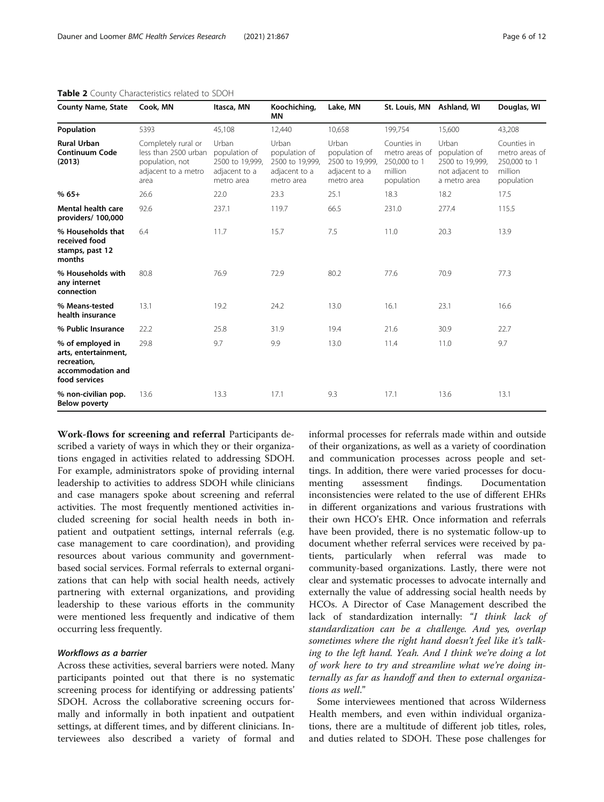| County Name, State                                                                            | Cook, MN                                                                                      | Itasca, MN                                                               | Koochiching,<br>ΜN                                                       | Lake, MN                                                                 | St. Louis, MN Ashland, WI                                              |                                                                              | Douglas, WI                                                            |
|-----------------------------------------------------------------------------------------------|-----------------------------------------------------------------------------------------------|--------------------------------------------------------------------------|--------------------------------------------------------------------------|--------------------------------------------------------------------------|------------------------------------------------------------------------|------------------------------------------------------------------------------|------------------------------------------------------------------------|
| Population                                                                                    | 5393                                                                                          | 45,108                                                                   | 12,440                                                                   | 10,658                                                                   | 199,754                                                                | 15,600                                                                       | 43,208                                                                 |
| <b>Rural Urban</b><br><b>Continuum Code</b><br>(2013)                                         | Completely rural or<br>less than 2500 urban<br>population, not<br>adjacent to a metro<br>area | Urban<br>population of<br>2500 to 19,999,<br>adjacent to a<br>metro area | Urban<br>population of<br>2500 to 19,999,<br>adjacent to a<br>metro area | Urban<br>population of<br>2500 to 19,999,<br>adjacent to a<br>metro area | Counties in<br>metro areas of<br>250,000 to 1<br>million<br>population | Urban<br>population of<br>2500 to 19,999,<br>not adjacent to<br>a metro area | Counties in<br>metro areas of<br>250,000 to 1<br>million<br>population |
| $%65+$                                                                                        | 26.6                                                                                          | 22.0                                                                     | 23.3                                                                     | 25.1                                                                     | 18.3                                                                   | 18.2                                                                         | 17.5                                                                   |
| Mental health care<br>providers/ 100,000                                                      | 92.6                                                                                          | 237.1                                                                    | 119.7                                                                    | 66.5                                                                     | 231.0                                                                  | 277.4                                                                        | 115.5                                                                  |
| % Households that<br>received food<br>stamps, past 12<br>months                               | 6.4                                                                                           | 11.7                                                                     | 15.7                                                                     | 7.5                                                                      | 11.0                                                                   | 20.3                                                                         | 13.9                                                                   |
| % Households with<br>any internet<br>connection                                               | 80.8                                                                                          | 76.9                                                                     | 72.9                                                                     | 80.2                                                                     | 77.6                                                                   | 70.9                                                                         | 77.3                                                                   |
| % Means-tested<br>health insurance                                                            | 13.1                                                                                          | 19.2                                                                     | 24.2                                                                     | 13.0                                                                     | 16.1                                                                   | 23.1                                                                         | 16.6                                                                   |
| % Public Insurance                                                                            | 22.2                                                                                          | 25.8                                                                     | 31.9                                                                     | 19.4                                                                     | 21.6                                                                   | 30.9                                                                         | 22.7                                                                   |
| % of employed in<br>arts, entertainment,<br>recreation,<br>accommodation and<br>food services | 29.8                                                                                          | 9.7                                                                      | 9.9                                                                      | 13.0                                                                     | 11.4                                                                   | 11.0                                                                         | 9.7                                                                    |
| % non-civilian pop.<br><b>Below poverty</b>                                                   | 13.6                                                                                          | 13.3                                                                     | 17.1                                                                     | 9.3                                                                      | 17.1                                                                   | 13.6                                                                         | 13.1                                                                   |

<span id="page-5-0"></span>Table 2 County Characteristics related to SDOH

Work-flows for screening and referral Participants described a variety of ways in which they or their organizations engaged in activities related to addressing SDOH. For example, administrators spoke of providing internal leadership to activities to address SDOH while clinicians and case managers spoke about screening and referral activities. The most frequently mentioned activities included screening for social health needs in both inpatient and outpatient settings, internal referrals (e.g. case management to care coordination), and providing resources about various community and governmentbased social services. Formal referrals to external organizations that can help with social health needs, actively partnering with external organizations, and providing leadership to these various efforts in the community were mentioned less frequently and indicative of them occurring less frequently.

# Workflows as a barrier

Across these activities, several barriers were noted. Many participants pointed out that there is no systematic screening process for identifying or addressing patients' SDOH. Across the collaborative screening occurs formally and informally in both inpatient and outpatient settings, at different times, and by different clinicians. Interviewees also described a variety of formal and informal processes for referrals made within and outside of their organizations, as well as a variety of coordination and communication processes across people and settings. In addition, there were varied processes for documenting assessment findings. Documentation inconsistencies were related to the use of different EHRs in different organizations and various frustrations with their own HCO's EHR. Once information and referrals have been provided, there is no systematic follow-up to document whether referral services were received by patients, particularly when referral was made to community-based organizations. Lastly, there were not clear and systematic processes to advocate internally and externally the value of addressing social health needs by HCOs. A Director of Case Management described the lack of standardization internally: "I think lack of standardization can be a challenge. And yes, overlap sometimes where the right hand doesn't feel like it's talking to the left hand. Yeah. And I think we're doing a lot of work here to try and streamline what we're doing internally as far as handoff and then to external organizations as well."

Some interviewees mentioned that across Wilderness Health members, and even within individual organizations, there are a multitude of different job titles, roles, and duties related to SDOH. These pose challenges for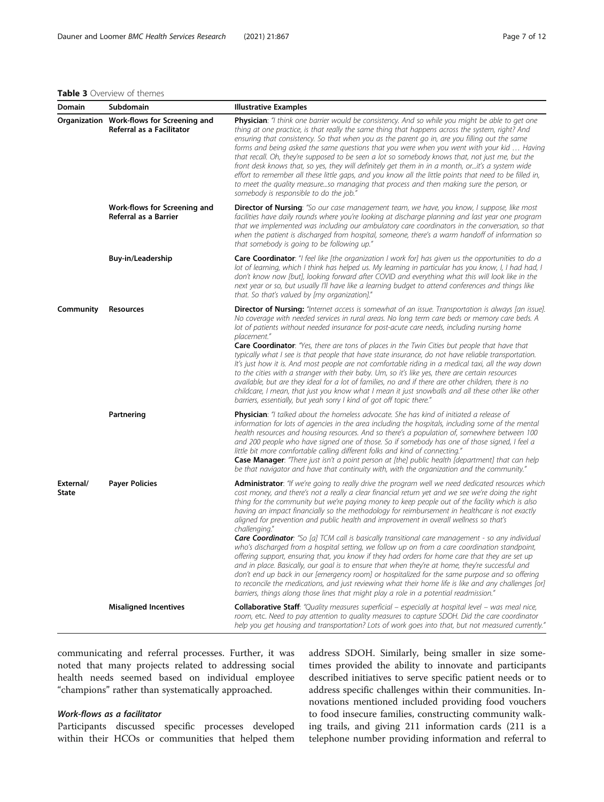# <span id="page-6-0"></span>Table 3 Overview of themes

| Domain                    | Subdomain                                                              | <b>Illustrative Examples</b>                                                                                                                                                                                                                                                                                                                                                                                                                                                                                                                                                                                                                                                                                                                                                                                                                                                                                                                                                                                                                                                                                                                                                                                                                      |
|---------------------------|------------------------------------------------------------------------|---------------------------------------------------------------------------------------------------------------------------------------------------------------------------------------------------------------------------------------------------------------------------------------------------------------------------------------------------------------------------------------------------------------------------------------------------------------------------------------------------------------------------------------------------------------------------------------------------------------------------------------------------------------------------------------------------------------------------------------------------------------------------------------------------------------------------------------------------------------------------------------------------------------------------------------------------------------------------------------------------------------------------------------------------------------------------------------------------------------------------------------------------------------------------------------------------------------------------------------------------|
|                           | Organization Work-flows for Screening and<br>Referral as a Facilitator | Physician: "I think one barrier would be consistency. And so while you might be able to get one<br>thing at one practice, is that really the same thing that happens across the system, right? And<br>ensuring that consistency. So that when you as the parent go in, are you filling out the same<br>forms and being asked the same questions that you were when you went with your kid  Having<br>that recall. Oh, they're supposed to be seen a lot so somebody knows that, not just me, but the<br>front desk knows that, so yes, they will definitely get them in in a month, orit's a system wide<br>effort to remember all these little gaps, and you know all the little points that need to be filled in,<br>to meet the quality measureso managing that process and then making sure the person, or<br>somebody is responsible to do the job."                                                                                                                                                                                                                                                                                                                                                                                         |
|                           | Work-flows for Screening and<br>Referral as a Barrier                  | <b>Director of Nursing:</b> "So our case management team, we have, you know, I suppose, like most<br>facilities have daily rounds where you're looking at discharge planning and last year one program<br>that we implemented was including our ambulatory care coordinators in the conversation, so that<br>when the patient is discharged from hospital, someone, there's a warm handoff of information so<br>that somebody is going to be following up."                                                                                                                                                                                                                                                                                                                                                                                                                                                                                                                                                                                                                                                                                                                                                                                       |
|                           | Buy-in/Leadership                                                      | <b>Care Coordinator</b> : "I feel like [the organization I work for] has given us the opportunities to do a<br>lot of learning, which I think has helped us. My learning in particular has you know, I, I had had, I<br>don't know now [but], looking forward after COVID and everything what this will look like in the<br>next year or so, but usually I'll have like a learning budget to attend conferences and things like<br>that. So that's valued by [my organization]."                                                                                                                                                                                                                                                                                                                                                                                                                                                                                                                                                                                                                                                                                                                                                                  |
| Community                 | Resources                                                              | Director of Nursing: "Internet access is somewhat of an issue. Transportation is always [an issue].<br>No coverage with needed services in rural areas. No long term care beds or memory care beds. A<br>lot of patients without needed insurance for post-acute care needs, including nursing home<br>placement."<br>Care Coordinator: "Yes, there are tons of places in the Twin Cities but people that have that<br>typically what I see is that people that have state insurance, do not have reliable transportation.<br>It's just how it is. And most people are not comfortable riding in a medical taxi, all the way down<br>to the cities with a stranger with their baby. Um, so it's like yes, there are certain resources<br>available, but are they ideal for a lot of families, no and if there are other children, there is no<br>childcare, I mean, that just you know what I mean it just snowballs and all these other like other<br>barriers, essentially, but yeah sorry I kind of got off topic there."                                                                                                                                                                                                                      |
|                           | Partnering                                                             | Physician: "I talked about the homeless advocate. She has kind of initiated a release of<br>information for lots of agencies in the area including the hospitals, including some of the mental<br>health resources and housing resources. And so there's a population of, somewhere between 100<br>and 200 people who have signed one of those. So if somebody has one of those signed, I feel a<br>little bit more comfortable calling different folks and kind of connecting."<br><b>Case Manager</b> : "There just isn't a point person at [the] public health [department] that can help<br>be that navigator and have that continuity with, with the organization and the community."                                                                                                                                                                                                                                                                                                                                                                                                                                                                                                                                                        |
| External/<br><b>State</b> | <b>Payer Policies</b>                                                  | Administrator: "If we're going to really drive the program well we need dedicated resources which<br>cost money, and there's not a really a clear financial return yet and we see we're doing the right<br>thing for the community but we're paying money to keep people out of the facility which is also<br>having an impact financially so the methodology for reimbursement in healthcare is not exactly<br>aligned for prevention and public health and improvement in overall wellness so that's<br>challenging."<br><b>Care Coordinator</b> : "So [a] TCM call is basically transitional care management - so any individual<br>who's discharged from a hospital setting, we follow up on from a care coordination standpoint,<br>offering support, ensuring that, you know if they had orders for home care that they are set up<br>and in place. Basically, our goal is to ensure that when they're at home, they're successful and<br>don't end up back in our [emergency room] or hospitalized for the same purpose and so offering<br>to reconcile the medications, and just reviewing what their home life is like and any challenges [or]<br>barriers, things along those lines that might play a role in a potential readmission." |
|                           | <b>Misaligned Incentives</b>                                           | <b>Collaborative Staff:</b> "Quality measures superficial – especially at hospital level – was meal nice,<br>room, etc. Need to pay attention to quality measures to capture SDOH. Did the care coordinator<br>help you get housing and transportation? Lots of work goes into that, but not measured currently."                                                                                                                                                                                                                                                                                                                                                                                                                                                                                                                                                                                                                                                                                                                                                                                                                                                                                                                                 |

communicating and referral processes. Further, it was noted that many projects related to addressing social health needs seemed based on individual employee "champions" rather than systematically approached.

# Work-flows as a facilitator

Participants discussed specific processes developed within their HCOs or communities that helped them address SDOH. Similarly, being smaller in size sometimes provided the ability to innovate and participants described initiatives to serve specific patient needs or to address specific challenges within their communities. Innovations mentioned included providing food vouchers to food insecure families, constructing community walking trails, and giving 211 information cards (211 is a telephone number providing information and referral to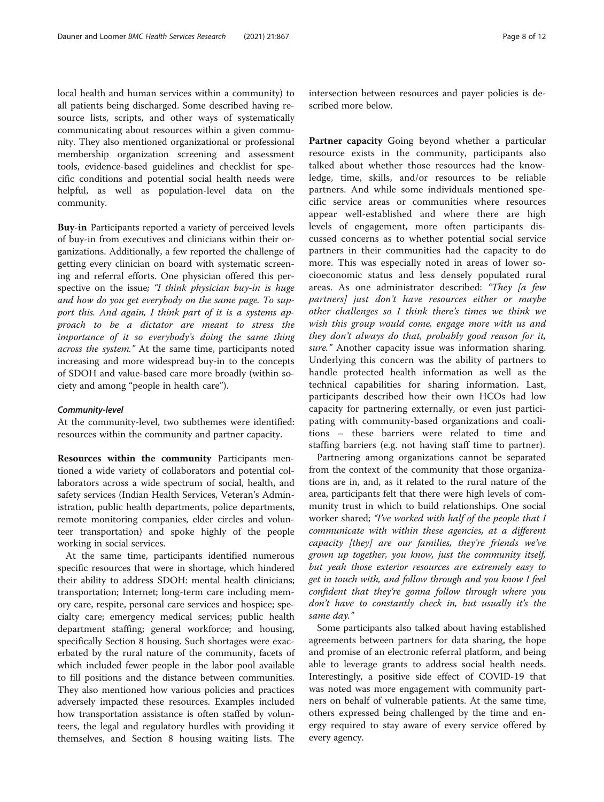local health and human services within a community) to all patients being discharged. Some described having resource lists, scripts, and other ways of systematically communicating about resources within a given community. They also mentioned organizational or professional membership organization screening and assessment tools, evidence-based guidelines and checklist for specific conditions and potential social health needs were helpful, as well as population-level data on the community.

Buy-in Participants reported a variety of perceived levels of buy-in from executives and clinicians within their organizations. Additionally, a few reported the challenge of getting every clinician on board with systematic screening and referral efforts. One physician offered this perspective on the issue; "I think physician buy-in is huge and how do you get everybody on the same page. To support this. And again, I think part of it is a systems approach to be a dictator are meant to stress the importance of it so everybody's doing the same thing across the system." At the same time, participants noted increasing and more widespread buy-in to the concepts of SDOH and value-based care more broadly (within society and among "people in health care").

#### Community-level

At the community-level, two subthemes were identified: resources within the community and partner capacity.

Resources within the community Participants mentioned a wide variety of collaborators and potential collaborators across a wide spectrum of social, health, and safety services (Indian Health Services, Veteran's Administration, public health departments, police departments, remote monitoring companies, elder circles and volunteer transportation) and spoke highly of the people working in social services.

At the same time, participants identified numerous specific resources that were in shortage, which hindered their ability to address SDOH: mental health clinicians; transportation; Internet; long-term care including memory care, respite, personal care services and hospice; specialty care; emergency medical services; public health department staffing; general workforce; and housing, specifically Section 8 housing. Such shortages were exacerbated by the rural nature of the community, facets of which included fewer people in the labor pool available to fill positions and the distance between communities. They also mentioned how various policies and practices adversely impacted these resources. Examples included how transportation assistance is often staffed by volunteers, the legal and regulatory hurdles with providing it themselves, and Section 8 housing waiting lists. The

intersection between resources and payer policies is described more below.

Partner capacity Going beyond whether a particular resource exists in the community, participants also talked about whether those resources had the knowledge, time, skills, and/or resources to be reliable partners. And while some individuals mentioned specific service areas or communities where resources appear well-established and where there are high levels of engagement, more often participants discussed concerns as to whether potential social service partners in their communities had the capacity to do more. This was especially noted in areas of lower socioeconomic status and less densely populated rural areas. As one administrator described: "They [a few partners] just don't have resources either or maybe other challenges so I think there's times we think we wish this group would come, engage more with us and they don't always do that, probably good reason for it, sure." Another capacity issue was information sharing. Underlying this concern was the ability of partners to handle protected health information as well as the technical capabilities for sharing information. Last, participants described how their own HCOs had low capacity for partnering externally, or even just participating with community-based organizations and coalitions – these barriers were related to time and staffing barriers (e.g. not having staff time to partner).

Partnering among organizations cannot be separated from the context of the community that those organizations are in, and, as it related to the rural nature of the area, participants felt that there were high levels of community trust in which to build relationships. One social worker shared; "I've worked with half of the people that I communicate with within these agencies, at a different capacity [they] are our families, they're friends we've grown up together, you know, just the community itself, but yeah those exterior resources are extremely easy to get in touch with, and follow through and you know I feel confident that they're gonna follow through where you don't have to constantly check in, but usually it's the same day."

Some participants also talked about having established agreements between partners for data sharing, the hope and promise of an electronic referral platform, and being able to leverage grants to address social health needs. Interestingly, a positive side effect of COVID-19 that was noted was more engagement with community partners on behalf of vulnerable patients. At the same time, others expressed being challenged by the time and energy required to stay aware of every service offered by every agency.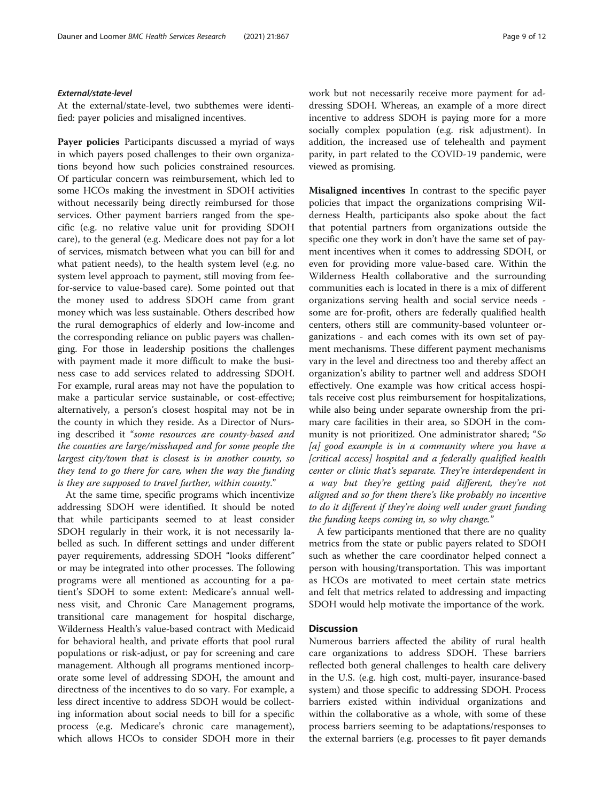At the external/state-level, two subthemes were identified: payer policies and misaligned incentives.

Payer policies Participants discussed a myriad of ways in which payers posed challenges to their own organizations beyond how such policies constrained resources. Of particular concern was reimbursement, which led to some HCOs making the investment in SDOH activities without necessarily being directly reimbursed for those services. Other payment barriers ranged from the specific (e.g. no relative value unit for providing SDOH care), to the general (e.g. Medicare does not pay for a lot of services, mismatch between what you can bill for and what patient needs), to the health system level (e.g. no system level approach to payment, still moving from feefor-service to value-based care). Some pointed out that the money used to address SDOH came from grant money which was less sustainable. Others described how the rural demographics of elderly and low-income and the corresponding reliance on public payers was challenging. For those in leadership positions the challenges with payment made it more difficult to make the business case to add services related to addressing SDOH. For example, rural areas may not have the population to make a particular service sustainable, or cost-effective; alternatively, a person's closest hospital may not be in the county in which they reside. As a Director of Nursing described it "some resources are county-based and the counties are large/misshaped and for some people the largest city/town that is closest is in another county, so they tend to go there for care, when the way the funding is they are supposed to travel further, within county."

At the same time, specific programs which incentivize addressing SDOH were identified. It should be noted that while participants seemed to at least consider SDOH regularly in their work, it is not necessarily labelled as such. In different settings and under different payer requirements, addressing SDOH "looks different" or may be integrated into other processes. The following programs were all mentioned as accounting for a patient's SDOH to some extent: Medicare's annual wellness visit, and Chronic Care Management programs, transitional care management for hospital discharge, Wilderness Health's value-based contract with Medicaid for behavioral health, and private efforts that pool rural populations or risk-adjust, or pay for screening and care management. Although all programs mentioned incorporate some level of addressing SDOH, the amount and directness of the incentives to do so vary. For example, a less direct incentive to address SDOH would be collecting information about social needs to bill for a specific process (e.g. Medicare's chronic care management), which allows HCOs to consider SDOH more in their work but not necessarily receive more payment for addressing SDOH. Whereas, an example of a more direct incentive to address SDOH is paying more for a more socially complex population (e.g. risk adjustment). In addition, the increased use of telehealth and payment parity, in part related to the COVID-19 pandemic, were viewed as promising.

Misaligned incentives In contrast to the specific payer policies that impact the organizations comprising Wilderness Health, participants also spoke about the fact that potential partners from organizations outside the specific one they work in don't have the same set of payment incentives when it comes to addressing SDOH, or even for providing more value-based care. Within the Wilderness Health collaborative and the surrounding communities each is located in there is a mix of different organizations serving health and social service needs some are for-profit, others are federally qualified health centers, others still are community-based volunteer organizations - and each comes with its own set of payment mechanisms. These different payment mechanisms vary in the level and directness too and thereby affect an organization's ability to partner well and address SDOH effectively. One example was how critical access hospitals receive cost plus reimbursement for hospitalizations, while also being under separate ownership from the primary care facilities in their area, so SDOH in the community is not prioritized. One administrator shared; "So  $[a]$  good example is in a community where you have a [critical access] hospital and a federally qualified health center or clinic that's separate. They're interdependent in a way but they're getting paid different, they're not aligned and so for them there's like probably no incentive to do it different if they're doing well under grant funding the funding keeps coming in, so why change."

A few participants mentioned that there are no quality metrics from the state or public payers related to SDOH such as whether the care coordinator helped connect a person with housing/transportation. This was important as HCOs are motivated to meet certain state metrics and felt that metrics related to addressing and impacting SDOH would help motivate the importance of the work.

# **Discussion**

Numerous barriers affected the ability of rural health care organizations to address SDOH. These barriers reflected both general challenges to health care delivery in the U.S. (e.g. high cost, multi-payer, insurance-based system) and those specific to addressing SDOH. Process barriers existed within individual organizations and within the collaborative as a whole, with some of these process barriers seeming to be adaptations/responses to the external barriers (e.g. processes to fit payer demands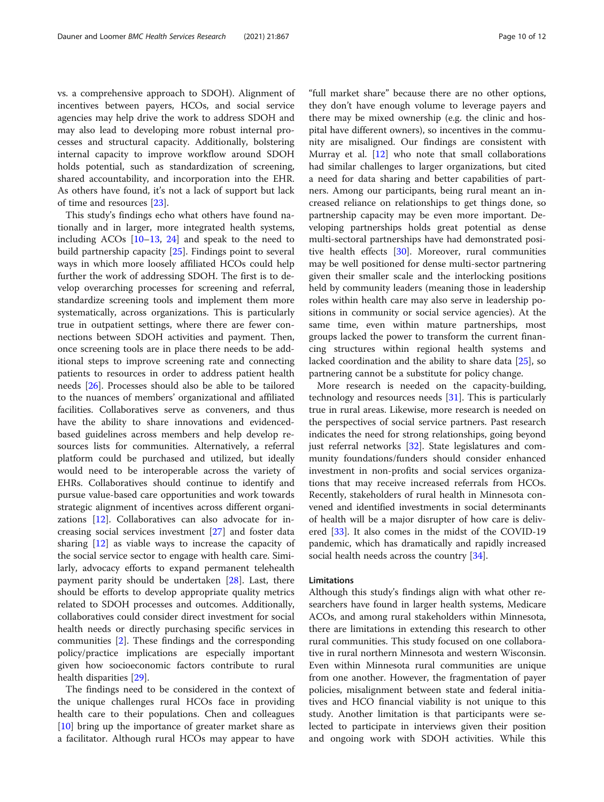vs. a comprehensive approach to SDOH). Alignment of incentives between payers, HCOs, and social service agencies may help drive the work to address SDOH and may also lead to developing more robust internal processes and structural capacity. Additionally, bolstering internal capacity to improve workflow around SDOH holds potential, such as standardization of screening, shared accountability, and incorporation into the EHR. As others have found, it's not a lack of support but lack of time and resources [\[23](#page-11-0)].

This study's findings echo what others have found nationally and in larger, more integrated health systems, including ACOs  $[10-13, 24]$  $[10-13, 24]$  $[10-13, 24]$  $[10-13, 24]$  $[10-13, 24]$  $[10-13, 24]$  and speak to the need to build partnership capacity [\[25\]](#page-11-0). Findings point to several ways in which more loosely affiliated HCOs could help further the work of addressing SDOH. The first is to develop overarching processes for screening and referral, standardize screening tools and implement them more systematically, across organizations. This is particularly true in outpatient settings, where there are fewer connections between SDOH activities and payment. Then, once screening tools are in place there needs to be additional steps to improve screening rate and connecting patients to resources in order to address patient health needs [\[26\]](#page-11-0). Processes should also be able to be tailored to the nuances of members' organizational and affiliated facilities. Collaboratives serve as conveners, and thus have the ability to share innovations and evidencedbased guidelines across members and help develop resources lists for communities. Alternatively, a referral platform could be purchased and utilized, but ideally would need to be interoperable across the variety of EHRs. Collaboratives should continue to identify and pursue value-based care opportunities and work towards strategic alignment of incentives across different organizations [\[12](#page-10-0)]. Collaboratives can also advocate for increasing social services investment [[27](#page-11-0)] and foster data sharing [\[12](#page-10-0)] as viable ways to increase the capacity of the social service sector to engage with health care. Similarly, advocacy efforts to expand permanent telehealth payment parity should be undertaken [[28\]](#page-11-0). Last, there should be efforts to develop appropriate quality metrics related to SDOH processes and outcomes. Additionally, collaboratives could consider direct investment for social health needs or directly purchasing specific services in communities [[2\]](#page-10-0). These findings and the corresponding policy/practice implications are especially important given how socioeconomic factors contribute to rural health disparities [\[29](#page-11-0)].

The findings need to be considered in the context of the unique challenges rural HCOs face in providing health care to their populations. Chen and colleagues [[10\]](#page-10-0) bring up the importance of greater market share as a facilitator. Although rural HCOs may appear to have

"full market share" because there are no other options, they don't have enough volume to leverage payers and there may be mixed ownership (e.g. the clinic and hospital have different owners), so incentives in the community are misaligned. Our findings are consistent with Murray et al. [\[12](#page-10-0)] who note that small collaborations had similar challenges to larger organizations, but cited a need for data sharing and better capabilities of partners. Among our participants, being rural meant an increased reliance on relationships to get things done, so partnership capacity may be even more important. Developing partnerships holds great potential as dense multi-sectoral partnerships have had demonstrated posi-tive health effects [\[30\]](#page-11-0). Moreover, rural communities may be well positioned for dense multi-sector partnering given their smaller scale and the interlocking positions held by community leaders (meaning those in leadership roles within health care may also serve in leadership positions in community or social service agencies). At the same time, even within mature partnerships, most groups lacked the power to transform the current financing structures within regional health systems and lacked coordination and the ability to share data [\[25](#page-11-0)], so partnering cannot be a substitute for policy change.

More research is needed on the capacity-building, technology and resources needs [[31](#page-11-0)]. This is particularly true in rural areas. Likewise, more research is needed on the perspectives of social service partners. Past research indicates the need for strong relationships, going beyond just referral networks [\[32](#page-11-0)]. State legislatures and community foundations/funders should consider enhanced investment in non-profits and social services organizations that may receive increased referrals from HCOs. Recently, stakeholders of rural health in Minnesota convened and identified investments in social determinants of health will be a major disrupter of how care is delivered [[33](#page-11-0)]. It also comes in the midst of the COVID-19 pandemic, which has dramatically and rapidly increased social health needs across the country [\[34](#page-11-0)].

### **Limitations**

Although this study's findings align with what other researchers have found in larger health systems, Medicare ACOs, and among rural stakeholders within Minnesota, there are limitations in extending this research to other rural communities. This study focused on one collaborative in rural northern Minnesota and western Wisconsin. Even within Minnesota rural communities are unique from one another. However, the fragmentation of payer policies, misalignment between state and federal initiatives and HCO financial viability is not unique to this study. Another limitation is that participants were selected to participate in interviews given their position and ongoing work with SDOH activities. While this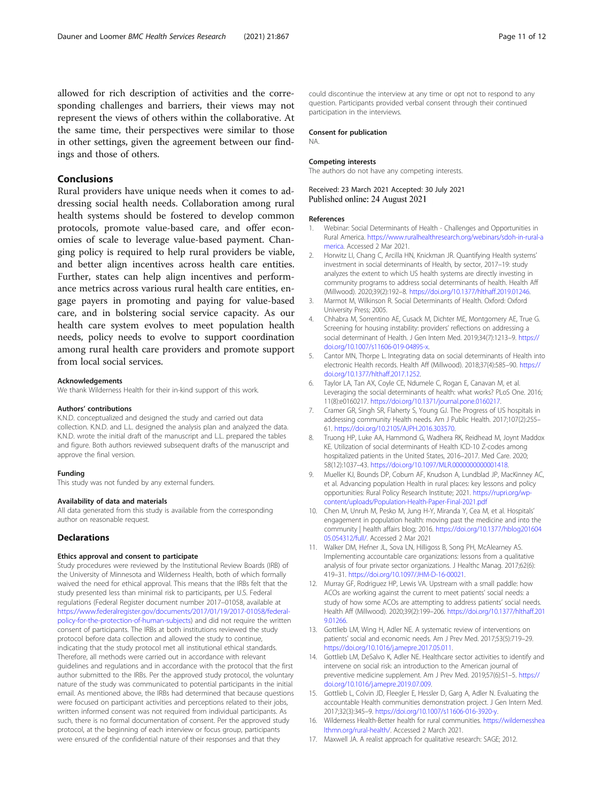<span id="page-10-0"></span>allowed for rich description of activities and the corresponding challenges and barriers, their views may not represent the views of others within the collaborative. At the same time, their perspectives were similar to those in other settings, given the agreement between our findings and those of others.

# Conclusions

Rural providers have unique needs when it comes to addressing social health needs. Collaboration among rural health systems should be fostered to develop common protocols, promote value-based care, and offer economies of scale to leverage value-based payment. Changing policy is required to help rural providers be viable, and better align incentives across health care entities. Further, states can help align incentives and performance metrics across various rural health care entities, engage payers in promoting and paying for value-based care, and in bolstering social service capacity. As our health care system evolves to meet population health needs, policy needs to evolve to support coordination among rural health care providers and promote support from local social services.

#### Acknowledgements

We thank Wilderness Health for their in-kind support of this work.

#### Authors' contributions

K.N.D. conceptualized and designed the study and carried out data collection. K.N.D. and L.L. designed the analysis plan and analyzed the data. K.N.D. wrote the initial draft of the manuscript and L.L. prepared the tables and figure. Both authors reviewed subsequent drafts of the manuscript and approve the final version.

#### Funding

This study was not funded by any external funders.

#### Availability of data and materials

All data generated from this study is available from the corresponding author on reasonable request.

# **Declarations**

#### Ethics approval and consent to participate

Study procedures were reviewed by the Institutional Review Boards (IRB) of the University of Minnesota and Wilderness Health, both of which formally waived the need for ethical approval. This means that the IRBs felt that the study presented less than minimal risk to participants, per U.S. Federal regulations (Federal Register document number 2017–01058, available at [https://www.federalregister.gov/documents/2017/01/19/2017-01058/federal](https://www.federalregister.gov/documents/2017/01/19/2017-01058/federal-policy-for-the-protection-of-human-subjects)[policy-for-the-protection-of-human-subjects](https://www.federalregister.gov/documents/2017/01/19/2017-01058/federal-policy-for-the-protection-of-human-subjects)) and did not require the written consent of participants. The IRBs at both institutions reviewed the study protocol before data collection and allowed the study to continue, indicating that the study protocol met all institutional ethical standards. Therefore, all methods were carried out in accordance with relevant guidelines and regulations and in accordance with the protocol that the first author submitted to the IRBs. Per the approved study protocol, the voluntary nature of the study was communicated to potential participants in the initial email. As mentioned above, the IRBs had determined that because questions were focused on participant activities and perceptions related to their jobs, written informed consent was not required from individual participants. As such, there is no formal documentation of consent. Per the approved study protocol, at the beginning of each interview or focus group, participants were ensured of the confidential nature of their responses and that they

could discontinue the interview at any time or opt not to respond to any question. Participants provided verbal consent through their continued participation in the interviews.

#### Consent for publication

NA.

#### Competing interests

The authors do not have any competing interests.

Received: 23 March 2021 Accepted: 30 July 2021 Published online: 24 August 2021

#### References

- 1. Webinar: Social Determinants of Health Challenges and Opportunities in Rural America. [https://www.ruralhealthresearch.org/webinars/sdoh-in-rural-a](https://www.ruralhealthresearch.org/webinars/sdoh-in-rural-america) [merica.](https://www.ruralhealthresearch.org/webinars/sdoh-in-rural-america) Accessed 2 Mar 2021.
- 2. Horwitz LI, Chang C, Arcilla HN, Knickman JR. Quantifying Health systems' investment in social determinants of Health, by sector, 2017–19: study analyzes the extent to which US health systems are directly investing in community programs to address social determinants of health. Health Aff (Millwood). 2020;39(2):192–8. <https://doi.org/10.1377/hlthaff.2019.01246>.
- 3. Marmot M, Wilkinson R. Social Determinants of Health. Oxford: Oxford University Press; 2005.
- 4. Chhabra M, Sorrentino AE, Cusack M, Dichter ME, Montgomery AE, True G. Screening for housing instability: providers' reflections on addressing a social determinant of Health. J Gen Intern Med. 2019;34(7):1213–9. [https://](https://doi.org/10.1007/s11606-019-04895-x) [doi.org/10.1007/s11606-019-04895-x.](https://doi.org/10.1007/s11606-019-04895-x)
- 5. Cantor MN, Thorpe L. Integrating data on social determinants of Health into electronic Health records. Health Aff (Millwood). 2018;37(4):585–90. [https://](https://doi.org/10.1377/hlthaff.2017.1252) [doi.org/10.1377/hlthaff.2017.1252](https://doi.org/10.1377/hlthaff.2017.1252).
- 6. Taylor LA, Tan AX, Coyle CE, Ndumele C, Rogan E, Canavan M, et al. Leveraging the social determinants of health: what works? PLoS One. 2016; 11(8):e0160217. <https://doi.org/10.1371/journal.pone.0160217>.
- 7. Cramer GR, Singh SR, Flaherty S, Young GJ. The Progress of US hospitals in addressing community Health needs. Am J Public Health. 2017;107(2):255– 61. <https://doi.org/10.2105/AJPH.2016.303570>.
- 8. Truong HP, Luke AA, Hammond G, Wadhera RK, Reidhead M, Joynt Maddox KE. Utilization of social determinants of Health ICD-10 Z-codes among hospitalized patients in the United States, 2016–2017. Med Care. 2020; 58(12):1037–43. [https://doi.org/10.1097/MLR.0000000000001418.](https://doi.org/10.1097/MLR.0000000000001418)
- 9. Mueller KJ, Bounds DP, Coburn AF, Knudson A, Lundblad JP, MacKinney AC, et al. Advancing population Health in rural places: key lessons and policy opportunities: Rural Policy Research Institute; 2021. [https://rupri.org/wp](https://rupri.org/wp-content/uploads/Population-Health-Paper-Final-2021.pdf)[content/uploads/Population-Health-Paper-Final-2021.pdf](https://rupri.org/wp-content/uploads/Population-Health-Paper-Final-2021.pdf)
- 10. Chen M, Unruh M, Pesko M, Jung H-Y, Miranda Y, Cea M, et al. Hospitals' engagement in population health: moving past the medicine and into the community | health affairs blog; 2016. [https://doi.org/10.1377/hblog201604](https://doi.org/10.1377/hblog20160405.054312/full/) [05.054312/full/.](https://doi.org/10.1377/hblog20160405.054312/full/) Accessed 2 Mar 2021
- 11. Walker DM, Hefner JL, Sova LN, Hilligoss B, Song PH, McAlearney AS. Implementing accountable care organizations: lessons from a qualitative analysis of four private sector organizations. J Healthc Manag. 2017;62(6): 419–31. <https://doi.org/10.1097/JHM-D-16-00021>.
- 12. Murray GF, Rodriguez HP, Lewis VA. Upstream with a small paddle: how ACOs are working against the current to meet patients' social needs: a study of how some ACOs are attempting to address patients' social needs. Health Aff (Millwood). 2020;39(2):199–206. [https://doi.org/10.1377/hlthaff.201](https://doi.org/10.1377/hlthaff.2019.01266) [9.01266](https://doi.org/10.1377/hlthaff.2019.01266).
- 13. Gottlieb LM, Wing H, Adler NE. A systematic review of interventions on patients' social and economic needs. Am J Prev Med. 2017;53(5):719–29. [https://doi.org/10.1016/j.amepre.2017.05.011.](https://doi.org/10.1016/j.amepre.2017.05.011)
- 14. Gottlieb LM, DeSalvo K, Adler NE. Healthcare sector activities to identify and intervene on social risk: an introduction to the American journal of preventive medicine supplement. Am J Prev Med. 2019;57(6):S1–5. [https://](https://doi.org/10.1016/j.amepre.2019.07.009) [doi.org/10.1016/j.amepre.2019.07.009.](https://doi.org/10.1016/j.amepre.2019.07.009)
- 15. Gottlieb L, Colvin JD, Fleegler E, Hessler D, Garg A, Adler N. Evaluating the accountable Health communities demonstration project. J Gen Intern Med. 2017;32(3):345–9. <https://doi.org/10.1007/s11606-016-3920-y>.
- 16. Wilderness Health-Better health for rural communities. [https://wildernesshea](https://wildernesshealthmn.org/rural-health/) [lthmn.org/rural-health/.](https://wildernesshealthmn.org/rural-health/) Accessed 2 March 2021.
- 17. Maxwell JA. A realist approach for qualitative research: SAGE; 2012.